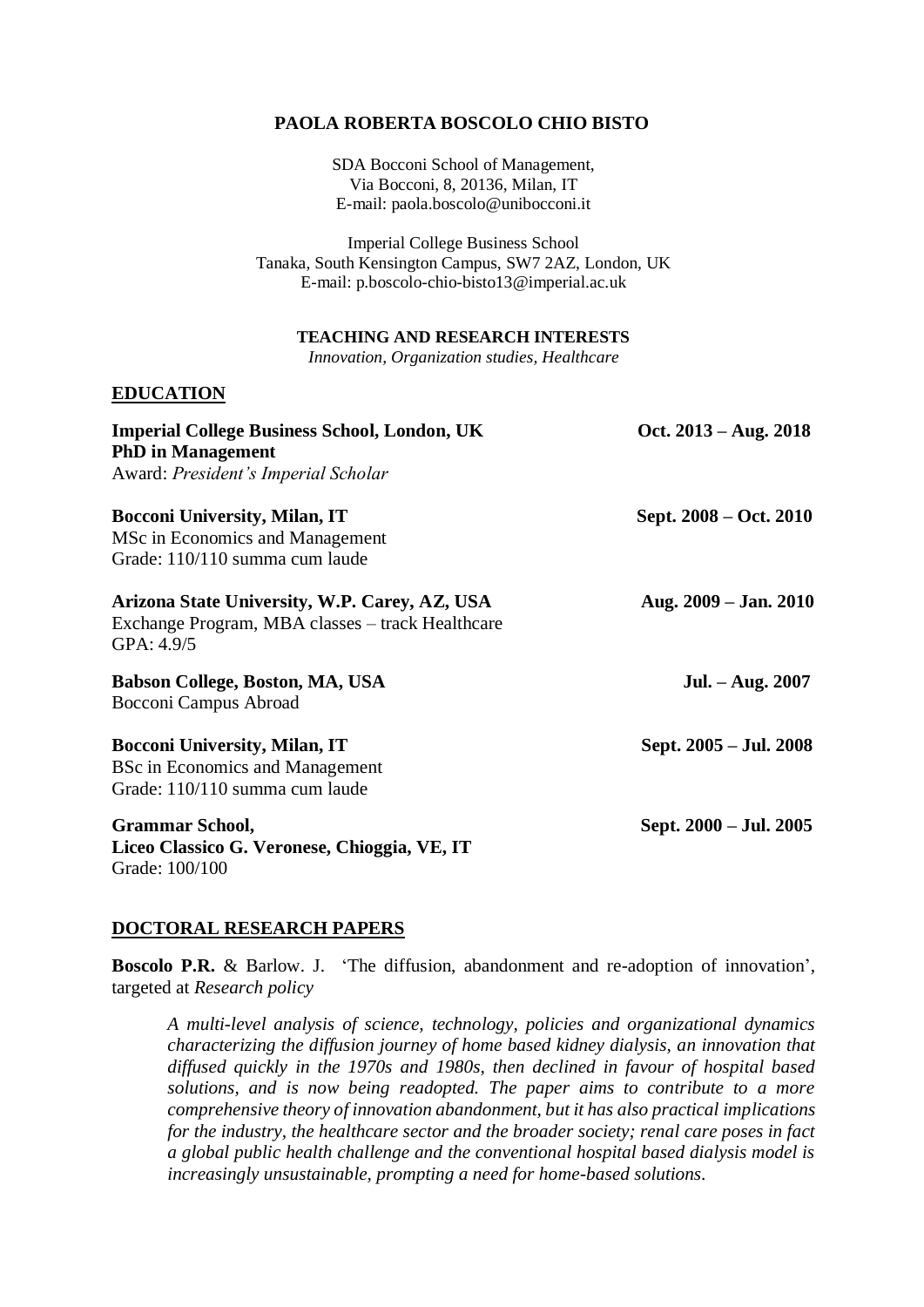## **PAOLA ROBERTA BOSCOLO CHIO BISTO**

SDA Bocconi School of Management, Via Bocconi, 8, 20136, Milan, IT E-mail: paola.boscolo@unibocconi.it

Imperial College Business School Tanaka, South Kensington Campus, SW7 2AZ, London, UK E-mail: p.boscolo-chio-bisto13@imperial.ac.uk

### **TEACHING AND RESEARCH INTERESTS**

*Innovation, Organization studies, Healthcare*

### **EDUCATION**

| <b>Imperial College Business School, London, UK</b><br><b>PhD</b> in Management                                 | Oct. $2013 - Aug. 2018$ |
|-----------------------------------------------------------------------------------------------------------------|-------------------------|
| Award: President's Imperial Scholar                                                                             |                         |
| <b>Bocconi University, Milan, IT</b>                                                                            | Sept. 2008 – Oct. 2010  |
| MSc in Economics and Management                                                                                 |                         |
| Grade: 110/110 summa cum laude                                                                                  |                         |
| Arizona State University, W.P. Carey, AZ, USA<br>Exchange Program, MBA classes - track Healthcare<br>GPA: 4.9/5 | Aug. $2009 - Jan. 2010$ |
| Babson College, Boston, MA, USA                                                                                 | Jul. – Aug. 2007        |
| Bocconi Campus Abroad                                                                                           |                         |
| <b>Bocconi University, Milan, IT</b>                                                                            | Sept. 2005 – Jul. 2008  |
| <b>BSc in Economics and Management</b>                                                                          |                         |
| Grade: 110/110 summa cum laude                                                                                  |                         |
| <b>Grammar School,</b>                                                                                          | Sept. 2000 – Jul. 2005  |
| Liceo Classico G. Veronese, Chioggia, VE, IT                                                                    |                         |
| Grade: 100/100                                                                                                  |                         |

### **DOCTORAL RESEARCH PAPERS**

**Boscolo P.R.** & Barlow. J. 'The diffusion, abandonment and re-adoption of innovation', targeted at *Research policy*

*A multi-level analysis of science, technology, policies and organizational dynamics characterizing the diffusion journey of home based kidney dialysis, an innovation that diffused quickly in the 1970s and 1980s, then declined in favour of hospital based solutions, and is now being readopted. The paper aims to contribute to a more comprehensive theory of innovation abandonment, but it has also practical implications for the industry, the healthcare sector and the broader society; renal care poses in fact a global public health challenge and the conventional hospital based dialysis model is increasingly unsustainable, prompting a need for home-based solutions.*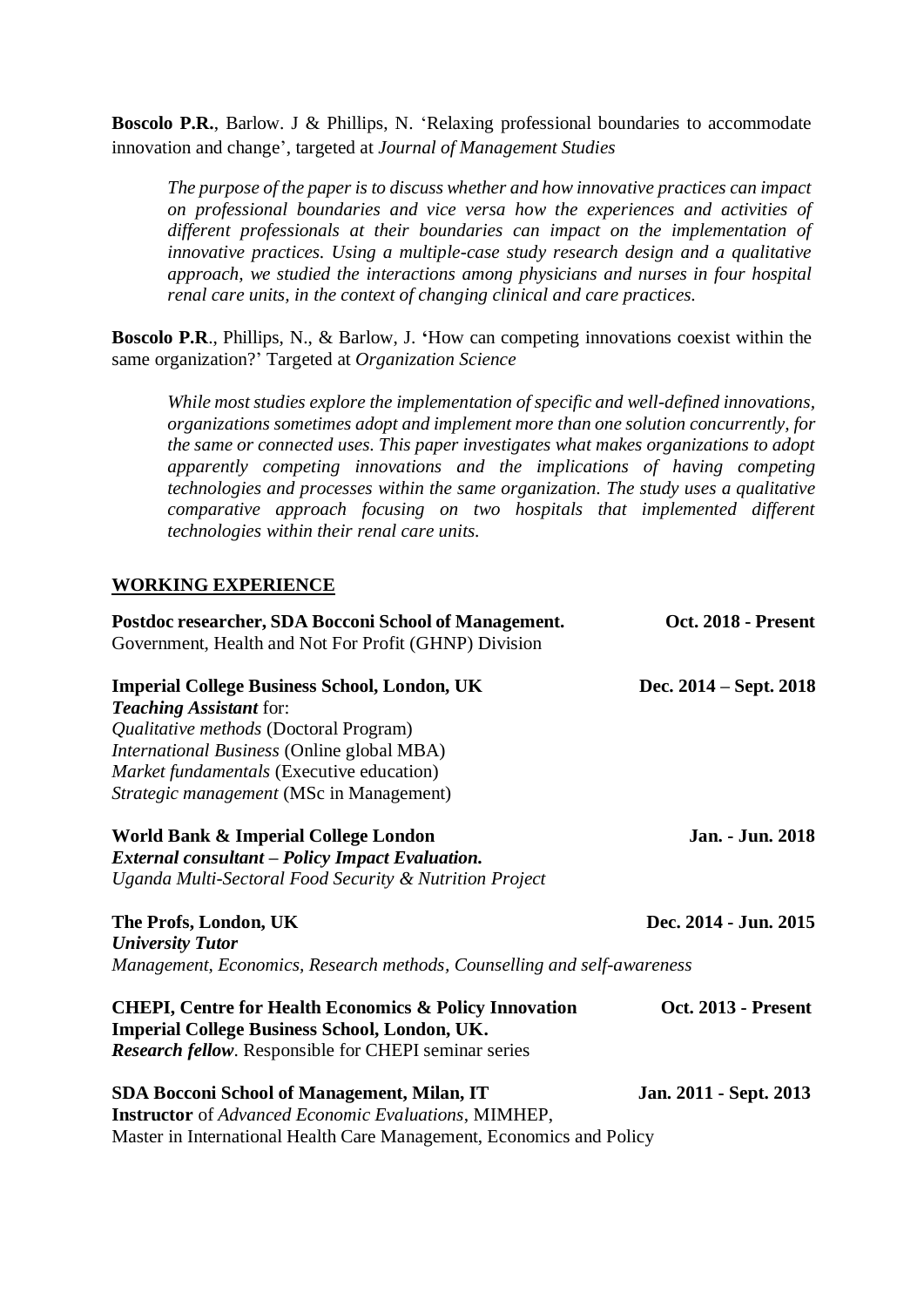**Boscolo P.R.**, Barlow. J & Phillips, N. 'Relaxing professional boundaries to accommodate innovation and change', targeted at *Journal of Management Studies*

*The purpose of the paper is to discuss whether and how innovative practices can impact on professional boundaries and vice versa how the experiences and activities of different professionals at their boundaries can impact on the implementation of innovative practices. Using a multiple-case study research design and a qualitative approach, we studied the interactions among physicians and nurses in four hospital renal care units, in the context of changing clinical and care practices.* 

**Boscolo P.R**., Phillips, N., & Barlow, J. **'**How can competing innovations coexist within the same organization?' Targeted at *Organization Science*

*While most studies explore the implementation of specific and well-defined innovations, organizations sometimes adopt and implement more than one solution concurrently, for the same or connected uses. This paper investigates what makes organizations to adopt apparently competing innovations and the implications of having competing technologies and processes within the same organization. The study uses a qualitative comparative approach focusing on two hospitals that implemented different technologies within their renal care units.*

## **WORKING EXPERIENCE**

| Postdoc researcher, SDA Bocconi School of Management.                   | Oct. 2018 - Present        |
|-------------------------------------------------------------------------|----------------------------|
| Government, Health and Not For Profit (GHNP) Division                   |                            |
| <b>Imperial College Business School, London, UK</b>                     | Dec. 2014 – Sept. 2018     |
| <b>Teaching Assistant for:</b>                                          |                            |
| Qualitative methods (Doctoral Program)                                  |                            |
| International Business (Online global MBA)                              |                            |
| Market fundamentals (Executive education)                               |                            |
| Strategic management (MSc in Management)                                |                            |
| World Bank & Imperial College London                                    | Jan. - Jun. 2018           |
| <b>External consultant – Policy Impact Evaluation.</b>                  |                            |
| Uganda Multi-Sectoral Food Security & Nutrition Project                 |                            |
| The Profs, London, UK                                                   | Dec. 2014 - Jun. 2015      |
| <b>University Tutor</b>                                                 |                            |
| Management, Economics, Research methods, Counselling and self-awareness |                            |
| <b>CHEPI, Centre for Health Economics &amp; Policy Innovation</b>       | <b>Oct. 2013 - Present</b> |
| <b>Imperial College Business School, London, UK.</b>                    |                            |
| <b>Research fellow.</b> Responsible for CHEPI seminar series            |                            |
| SDA Bocconi School of Management, Milan, IT                             | Jan. 2011 - Sept. 2013     |
| <b>Instructor</b> of Advanced Economic Evaluations, MIMHEP,             |                            |
| Master in International Health Care Management, Economics and Policy    |                            |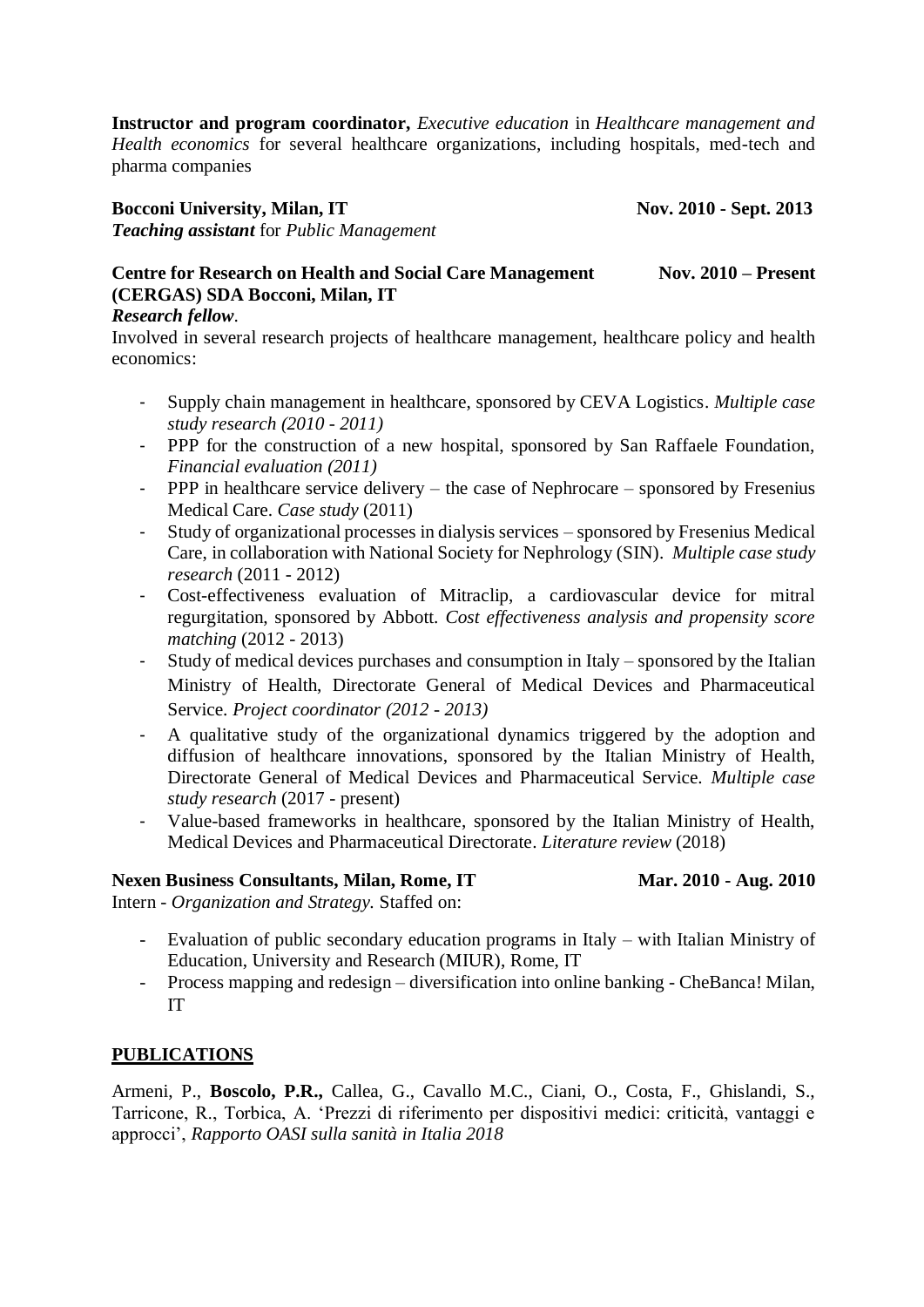**Instructor and program coordinator,** *Executive education* in *Healthcare management and Health economics* for several healthcare organizations, including hospitals, med-tech and pharma companies

### **Bocconi University, Milan, IT** Nov. 2010 **-** Sept. 2013

*Teaching assistant* for *Public Management*

# **Centre for Research on Health and Social Care Management Nov. 2010 – Present (CERGAS) SDA Bocconi, Milan, IT**

## *Research fellow*.

Involved in several research projects of healthcare management, healthcare policy and health economics:

- Supply chain management in healthcare, sponsored by CEVA Logistics. *Multiple case study research (2010 - 2011)*
- PPP for the construction of a new hospital, sponsored by San Raffaele Foundation, *Financial evaluation (2011)*
- PPP in healthcare service delivery the case of Nephrocare sponsored by Fresenius Medical Care. *Case study* (2011)
- Study of organizational processes in dialysis services sponsored by Fresenius Medical Care, in collaboration with National Society for Nephrology (SIN). *Multiple case study research* (2011 - 2012)
- Cost-effectiveness evaluation of Mitraclip, a cardiovascular device for mitral regurgitation, sponsored by Abbott. *Cost effectiveness analysis and propensity score matching* (2012 - 2013)
- Study of medical devices purchases and consumption in Italy sponsored by the Italian Ministry of Health, Directorate General of Medical Devices and Pharmaceutical Service. *Project coordinator (2012 - 2013)*
- A qualitative study of the organizational dynamics triggered by the adoption and diffusion of healthcare innovations, sponsored by the Italian Ministry of Health, Directorate General of Medical Devices and Pharmaceutical Service. *Multiple case study research* (2017 - present)
- Value-based frameworks in healthcare, sponsored by the Italian Ministry of Health, Medical Devices and Pharmaceutical Directorate. *Literature review* (2018)

## **Nexen Business Consultants, Milan, Rome, IT Mar. 2010 - Aug. 2010**

Intern - *Organization and Strategy.* Staffed on:

- Evaluation of public secondary education programs in Italy with Italian Ministry of Education, University and Research (MIUR), Rome, IT
- Process mapping and redesign diversification into online banking CheBanca! Milan, IT

# **PUBLICATIONS**

Armeni, P., **Boscolo, P.R.,** Callea, G., Cavallo M.C., Ciani, O., Costa, F., Ghislandi, S., Tarricone, R., Torbica, A. 'Prezzi di riferimento per dispositivi medici: criticità, vantaggi e approcci', *Rapporto OASI sulla sanità in Italia 2018*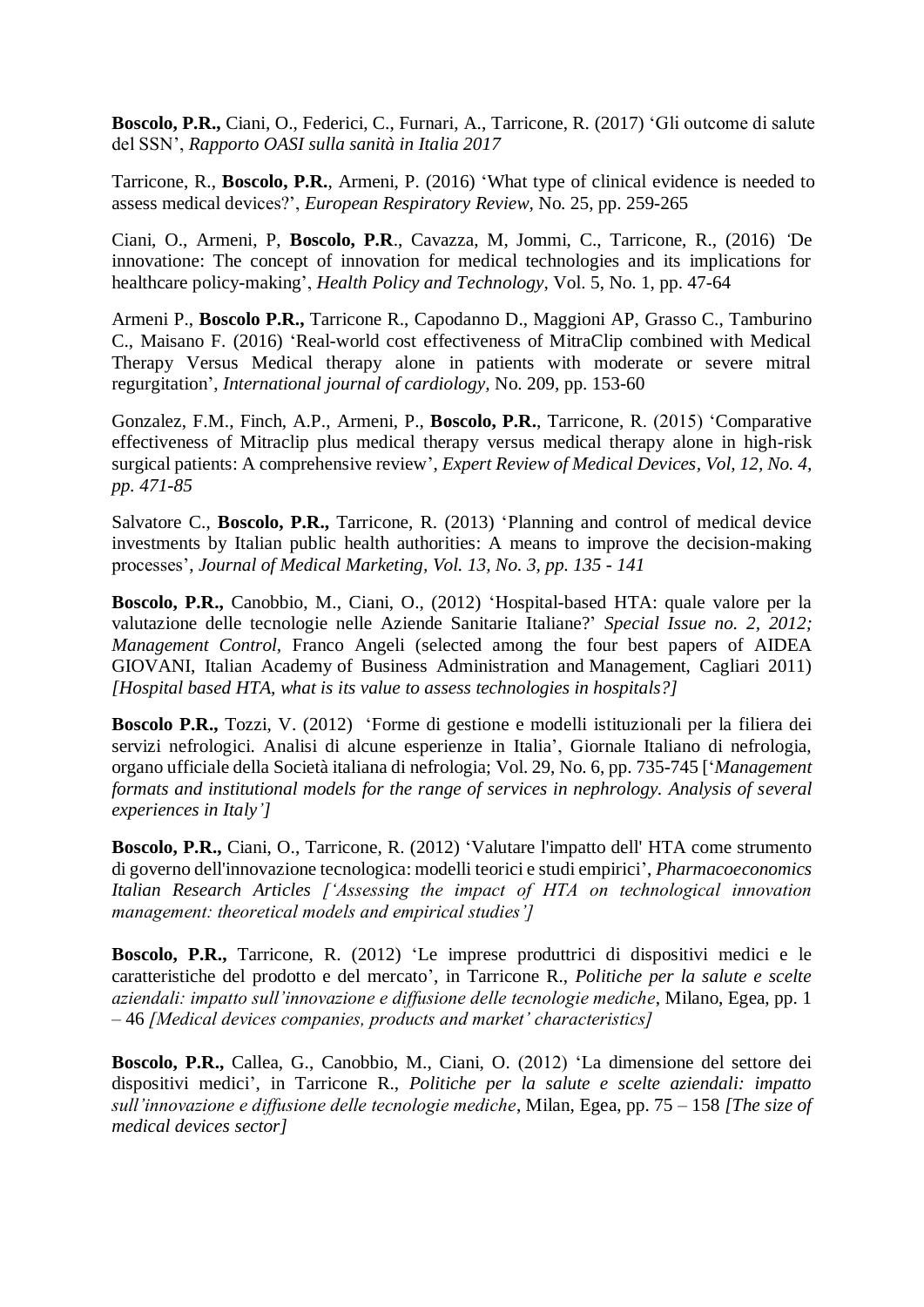**Boscolo, P.R.,** Ciani, O., Federici, C., Furnari, A., Tarricone, R. (2017) 'Gli outcome di salute del SSN', *Rapporto OASI sulla sanità in Italia 2017*

Tarricone, R., **Boscolo, P.R.**, Armeni, P. (2016) 'What type of clinical evidence is needed to assess medical devices?', *European Respiratory Review,* No. 25, pp. 259-265

Ciani, O., Armeni, P, **Boscolo, P.R**., Cavazza, M, Jommi, C., Tarricone, R., (2016) *'*De innovatione: The concept of innovation for medical technologies and its implications for healthcare policy-making', *Health Policy and Technology*, Vol. 5, No. 1, pp. 47-64

Armeni P., **Boscolo P.R.,** Tarricone R., Capodanno D., Maggioni AP, Grasso C., Tamburino C., Maisano F. (2016) 'Real-world cost effectiveness of MitraClip combined with Medical Therapy Versus Medical therapy alone in patients with moderate or severe mitral regurgitation', *International journal of cardiology,* No. 209, pp. 153-60

Gonzalez, F.M., Finch, A.P., Armeni, P., **Boscolo, P.R.**, Tarricone, R. (2015) 'Comparative effectiveness of Mitraclip plus medical therapy versus medical therapy alone in high-risk surgical patients: A comprehensive review', *Expert Review of Medical Devices, Vol, 12, No. 4, pp. 471-85*

Salvatore C., **Boscolo, P.R.,** Tarricone, R. (2013) 'Planning and control of medical device investments by Italian public health authorities: A means to improve the decision-making processes', *Journal of Medical Marketing, Vol. 13, No. 3, pp. 135 - 141*

**Boscolo, P.R.,** Canobbio, M., Ciani, O., (2012) 'Hospital-based HTA: quale valore per la valutazione delle tecnologie nelle Aziende Sanitarie Italiane?' *Special Issue no. 2, 2012; Management Control,* Franco Angeli (selected among the four best papers of AIDEA GIOVANI, Italian Academy of Business Administration and Management, Cagliari 2011) *[Hospital based HTA, what is its value to assess technologies in hospitals?]*

**Boscolo P.R.,** Tozzi, V. (2012) 'Forme di gestione e modelli istituzionali per la filiera dei servizi nefrologici. Analisi di alcune esperienze in Italia', Giornale Italiano di nefrologia, organo ufficiale della Società italiana di nefrologia; Vol. 29, No. 6, pp. 735-745 ['*Management formats and institutional models for the range of services in nephrology. Analysis of several experiences in Italy']*

**Boscolo, P.R.,** Ciani, O., Tarricone, R. (2012) 'Valutare l'impatto dell' HTA come strumento di governo dell'innovazione tecnologica: modelli teorici e studi empirici', *Pharmacoeconomics Italian Research Articles ['Assessing the impact of HTA on technological innovation management: theoretical models and empirical studies']*

**Boscolo, P.R.,** Tarricone, R. (2012) 'Le imprese produttrici di dispositivi medici e le caratteristiche del prodotto e del mercato', in Tarricone R., *Politiche per la salute e scelte aziendali: impatto sull'innovazione e diffusione delle tecnologie mediche*, Milano, Egea, pp. 1 – 46 *[Medical devices companies, products and market' characteristics]*

**Boscolo, P.R.,** Callea, G., Canobbio, M., Ciani, O. (2012) 'La dimensione del settore dei dispositivi medici', in Tarricone R., *Politiche per la salute e scelte aziendali: impatto sull'innovazione e diffusione delle tecnologie mediche*, Milan, Egea, pp. 75 – 158 *[The size of medical devices sector]*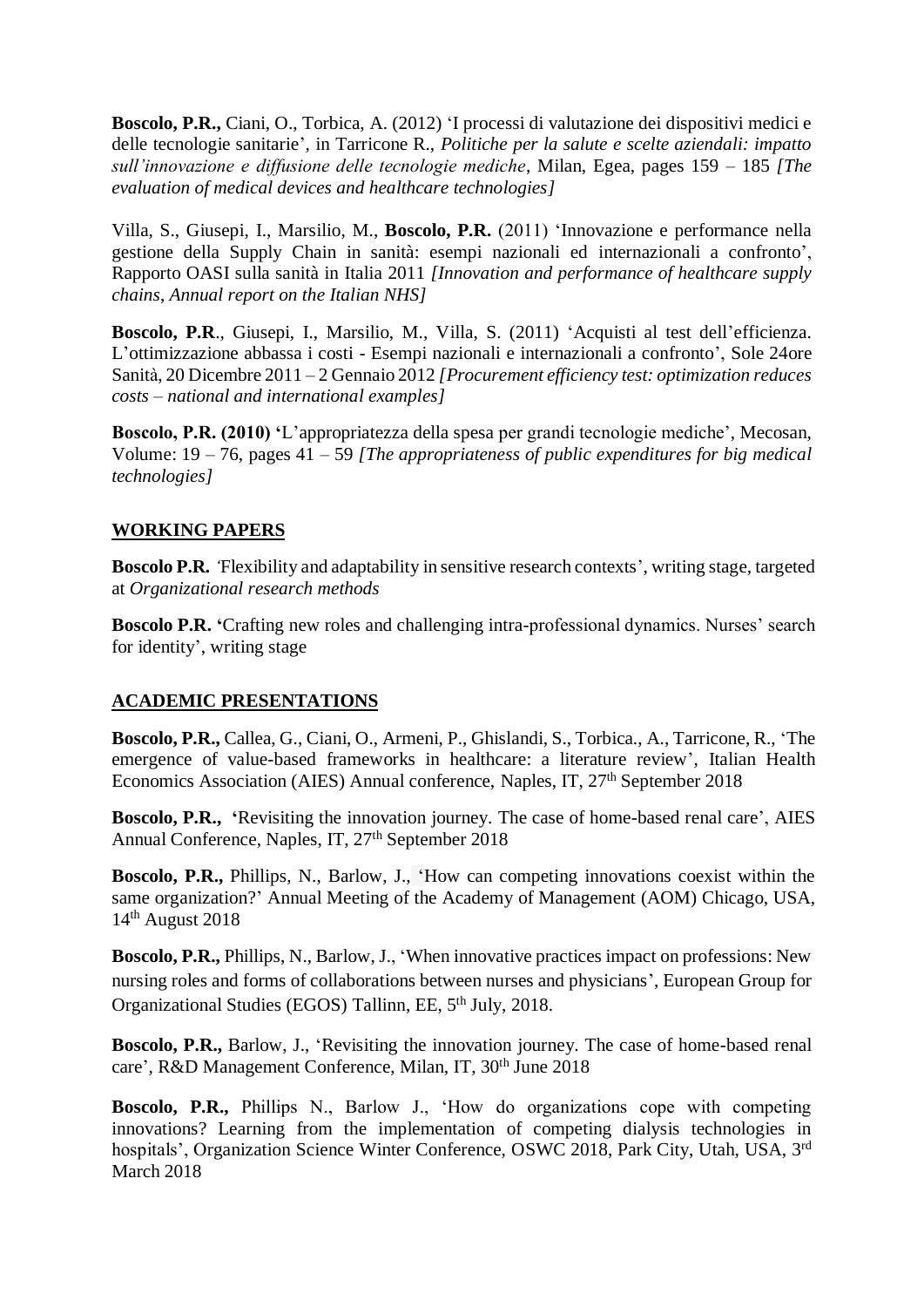**Boscolo, P.R.,** Ciani, O., Torbica, A. (2012) 'I processi di valutazione dei dispositivi medici e delle tecnologie sanitarie'*,* in Tarricone R., *Politiche per la salute e scelte aziendali: impatto sull'innovazione e diffusione delle tecnologie mediche*, Milan, Egea, pages 159 – 185 *[The evaluation of medical devices and healthcare technologies]*

Villa, S., Giusepi, I., Marsilio, M., **Boscolo, P.R.** (2011) 'Innovazione e performance nella gestione della Supply Chain in sanità: esempi nazionali ed internazionali a confronto', Rapporto OASI sulla sanità in Italia 2011 *[Innovation and performance of healthcare supply chains*, *Annual report on the Italian NHS]*

**Boscolo, P.R**., Giusepi, I., Marsilio, M., Villa, S. (2011) 'Acquisti al test dell'efficienza. L'ottimizzazione abbassa i costi - Esempi nazionali e internazionali a confronto', Sole 24ore Sanità, 20 Dicembre 2011 – 2 Gennaio 2012 *[Procurement efficiency test: optimization reduces costs – national and international examples]*

**Boscolo, P.R. (2010) '**L'appropriatezza della spesa per grandi tecnologie mediche', Mecosan, Volume: 19 – 76, pages 41 – 59 *[The appropriateness of public expenditures for big medical technologies]*

## **WORKING PAPERS**

**Boscolo P.R***. '*Flexibility and adaptability in sensitive research contexts', writing stage, targeted at *Organizational research methods*

**Boscolo P.R. '**Crafting new roles and challenging intra-professional dynamics. Nurses' search for identity', writing stage

## **ACADEMIC PRESENTATIONS**

**Boscolo, P.R.,** Callea, G., Ciani, O., Armeni, P., Ghislandi, S., Torbica., A., Tarricone, R., 'The emergence of value-based frameworks in healthcare: a literature review', Italian Health Economics Association (AIES) Annual conference, Naples, IT, 27<sup>th</sup> September 2018

**Boscolo, P.R., '**Revisiting the innovation journey. The case of home-based renal care', AIES Annual Conference, Naples, IT, 27<sup>th</sup> September 2018

**Boscolo, P.R.,** Phillips, N., Barlow, J., 'How can competing innovations coexist within the same organization?' Annual Meeting of the Academy of Management (AOM) Chicago, USA, 14th August 2018

**Boscolo, P.R.,** Phillips, N., Barlow, J., 'When innovative practices impact on professions: New nursing roles and forms of collaborations between nurses and physicians', European Group for Organizational Studies (EGOS) Tallinn, EE, 5th July, 2018.

**Boscolo, P.R.,** Barlow, J., 'Revisiting the innovation journey. The case of home-based renal care', R&D Management Conference, Milan, IT, 30<sup>th</sup> June 2018

**Boscolo, P.R.,** Phillips N., Barlow J., 'How do organizations cope with competing innovations? Learning from the implementation of competing dialysis technologies in hospitals', Organization Science Winter Conference, OSWC 2018, Park City, Utah, USA, 3rd March 2018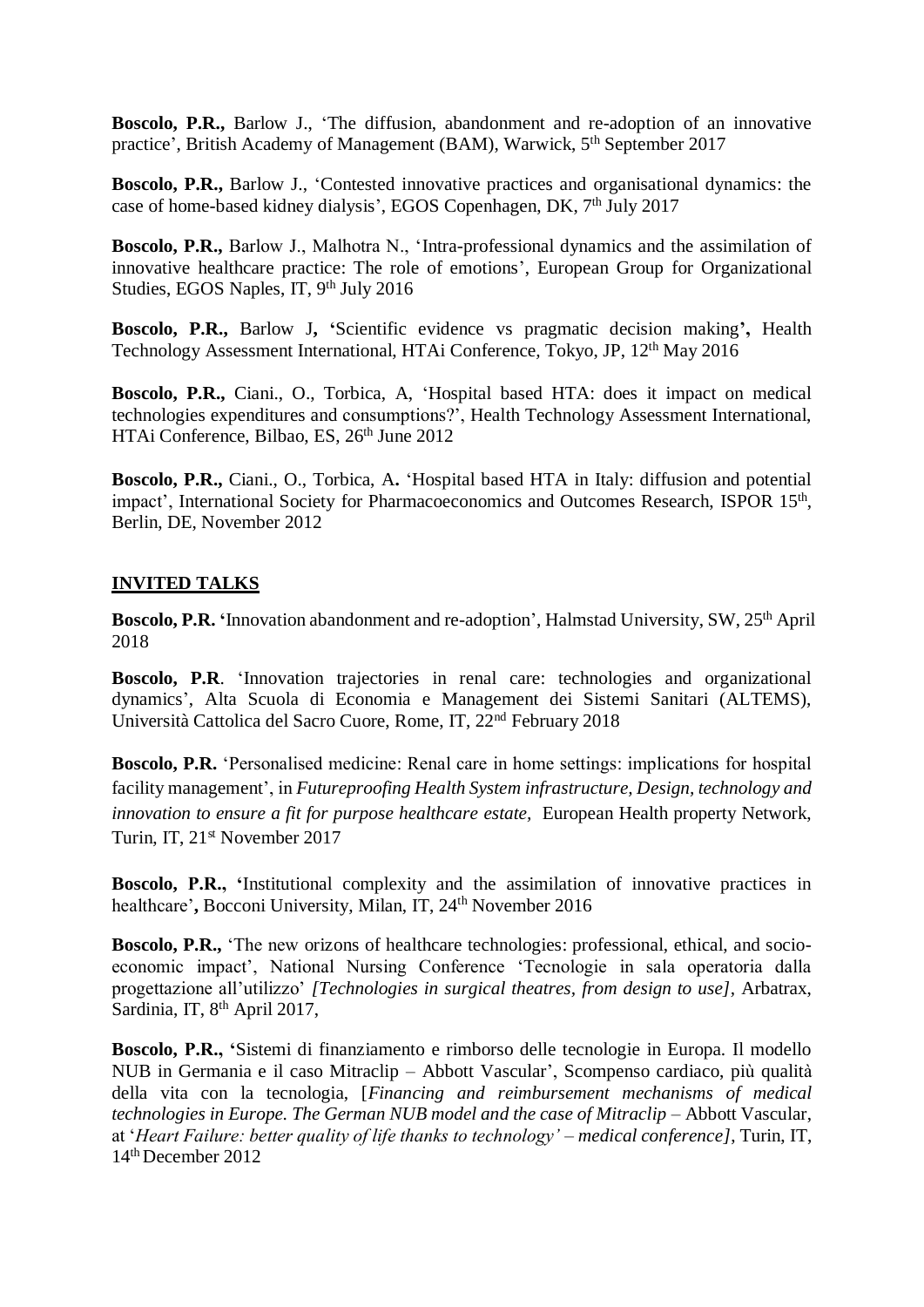**Boscolo, P.R.,** Barlow J., 'The diffusion, abandonment and re-adoption of an innovative practice', British Academy of Management (BAM), Warwick, 5<sup>th</sup> September 2017

**Boscolo, P.R.,** Barlow J., 'Contested innovative practices and organisational dynamics: the case of home-based kidney dialysis', EGOS Copenhagen, DK, 7<sup>th</sup> July 2017

**Boscolo, P.R.,** Barlow J., Malhotra N., 'Intra-professional dynamics and the assimilation of innovative healthcare practice: The role of emotions', European Group for Organizational Studies, EGOS Naples, IT, 9th July 2016

**Boscolo, P.R.,** Barlow J**, '**Scientific evidence vs pragmatic decision making**',** Health Technology Assessment International, HTAi Conference*,* Tokyo, JP, 12th May 2016

**Boscolo, P.R.,** Ciani., O., Torbica, A, 'Hospital based HTA: does it impact on medical technologies expenditures and consumptions?', Health Technology Assessment International, HTAi Conference, Bilbao, ES, 26<sup>th</sup> June 2012

**Boscolo, P.R.,** Ciani., O., Torbica, A**.** 'Hospital based HTA in Italy: diffusion and potential impact', International Society for Pharmacoeconomics and Outcomes Research, ISPOR 15<sup>th</sup>, Berlin, DE, November 2012

## **INVITED TALKS**

**Boscolo, P.R. '**Innovation abandonment and re-adoption', Halmstad University, SW, 25th April 2018

**Boscolo, P.R**. 'Innovation trajectories in renal care: technologies and organizational dynamics', Alta Scuola di Economia e Management dei Sistemi Sanitari (ALTEMS), Università Cattolica del Sacro Cuore, Rome, IT, 22nd February 2018

**Boscolo, P.R.** 'Personalised medicine: Renal care in home settings: implications for hospital facility management', in *Futureproofing Health System infrastructure, Design, technology and innovation to ensure a fit for purpose healthcare estate,* European Health property Network, Turin, IT, 21<sup>st</sup> November 2017

**Boscolo, P.R., '**Institutional complexity and the assimilation of innovative practices in healthcare', Bocconi University, Milan, IT, 24<sup>th</sup> November 2016

**Boscolo, P.R.,** 'The new orizons of healthcare technologies: professional, ethical, and socioeconomic impact', National Nursing Conference 'Tecnologie in sala operatoria dalla progettazione all'utilizzo' *[Technologies in surgical theatres, from design to use],* Arbatrax, Sardinia, IT, 8<sup>th</sup> April 2017,

**Boscolo, P.R., '**Sistemi di finanziamento e rimborso delle tecnologie in Europa. Il modello NUB in Germania e il caso Mitraclip – Abbott Vascular', Scompenso cardiaco, più qualità della vita con la tecnologia, [*Financing and reimbursement mechanisms of medical technologies in Europe. The German NUB model and the case of Mitraclip* – Abbott Vascular, at '*Heart Failure: better quality of life thanks to technology' – medical conference]*, Turin, IT, 14th December 2012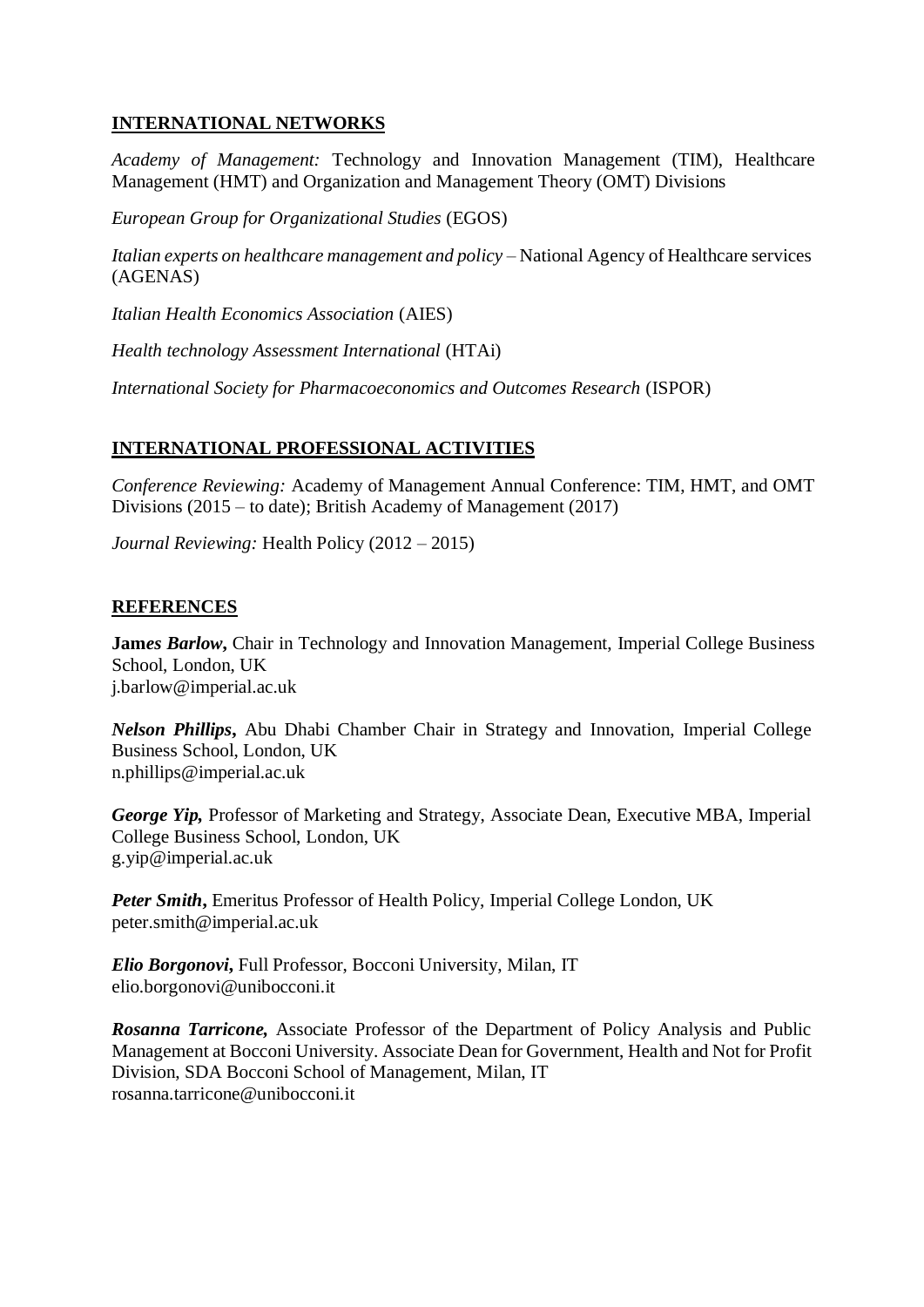# **INTERNATIONAL NETWORKS**

*Academy of Management:* Technology and Innovation Management (TIM), Healthcare Management (HMT) and Organization and Management Theory (OMT) Divisions

*European Group for Organizational Studies* (EGOS)

*Italian experts on healthcare management and policy* – National Agency of Healthcare services (AGENAS)

*Italian Health Economics Association* (AIES)

*Health technology Assessment International* (HTAi)

*International Society for Pharmacoeconomics and Outcomes Research* (ISPOR)

# **INTERNATIONAL PROFESSIONAL ACTIVITIES**

*Conference Reviewing:* Academy of Management Annual Conference: TIM, HMT, and OMT Divisions (2015 – to date); British Academy of Management (2017)

*Journal Reviewing:* Health Policy (2012 – 2015)

## **REFERENCES**

**Jam***es Barlow***,** Chair in Technology and Innovation Management, Imperial College Business School, London, UK j.barlow@imperial.ac.uk

*Nelson Phillips***,** Abu Dhabi Chamber Chair in Strategy and Innovation, Imperial College Business School, London, UK n.phillips@imperial.ac.uk

*George Yip,* Professor of Marketing and Strategy, Associate Dean, Executive MBA, Imperial College Business School, London, UK g.yip@imperial.ac.uk

*Peter Smith***,** Emeritus Professor of Health Policy, Imperial College London, UK peter.smith@imperial.ac.uk

*Elio Borgonovi***,** Full Professor, Bocconi University, Milan, IT elio.borgonovi@unibocconi.it

*Rosanna Tarricone,* Associate Professor of the Department of Policy Analysis and Public Management at Bocconi University. Associate Dean for Government, Health and Not for Profit Division, SDA Bocconi School of Management, Milan, IT rosanna.tarricone@unibocconi.it